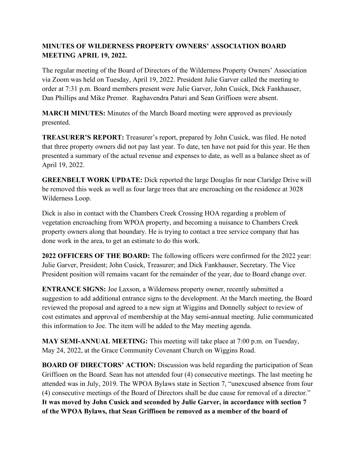## **MINUTES OF WILDERNESS PROPERTY OWNERS' ASSOCIATION BOARD MEETING APRIL 19, 2022.**

The regular meeting of the Board of Directors of the Wilderness Property Owners' Association via Zoom was held on Tuesday, April 19, 2022. President Julie Garver called the meeting to order at 7:31 p.m. Board members present were Julie Garver, John Cusick, Dick Fankhauser, Dan Phillips and Mike Premer. Raghavendra Paturi and Sean Griffioen were absent.

**MARCH MINUTES:** Minutes of the March Board meeting were approved as previously presented.

**TREASURER'S REPORT:** Treasurer's report, prepared by John Cusick, was filed. He noted that three property owners did not pay last year. To date, ten have not paid for this year. He then presented a summary of the actual revenue and expenses to date, as well as a balance sheet as of April 19, 2022.

**GREENBELT WORK UPDATE:** Dick reported the large Douglas fir near Claridge Drive will be removed this week as well as four large trees that are encroaching on the residence at 3028 Wilderness Loop.

Dick is also in contact with the Chambers Creek Crossing HOA regarding a problem of vegetation encroaching from WPOA property, and becoming a nuisance to Chambers Creek property owners along that boundary. He is trying to contact a tree service company that has done work in the area, to get an estimate to do this work.

**2022 OFFICERS OF THE BOARD:** The following officers were confirmed for the 2022 year: Julie Garver, President; John Cusick, Treasurer; and Dick Fankhauser, Secretary. The Vice President position will remains vacant for the remainder of the year, due to Board change over.

**ENTRANCE SIGNS:** Joe Laxson, a Wilderness property owner, recently submitted a suggestion to add additional entrance signs to the development. At the March meeting, the Board reviewed the proposal and agreed to a new sign at Wiggins and Donnelly subject to review of cost estimates and approval of membership at the May semi-annual meeting. Julie communicated this information to Joe. The item will be added to the May meeting agenda.

**MAY SEMI-ANNUAL MEETING:** This meeting will take place at 7:00 p.m. on Tuesday, May 24, 2022, at the Grace Community Covenant Church on Wiggins Road.

**BOARD OF DIRECTORS' ACTION:** Discussion was held regarding the participation of Sean Griffioen on the Board. Sean has not attended four (4) consecutive meetings. The last meeting he attended was in July, 2019. The WPOA Bylaws state in Section 7, "unexcused absence from four (4) consecutive meetings of the Board of Directors shall be due cause for removal of a director." **It was moved by John Cusick and seconded by Julie Garver, in accordance with section 7 of the WPOA Bylaws, that Sean Griffioen be removed as a member of the board of**